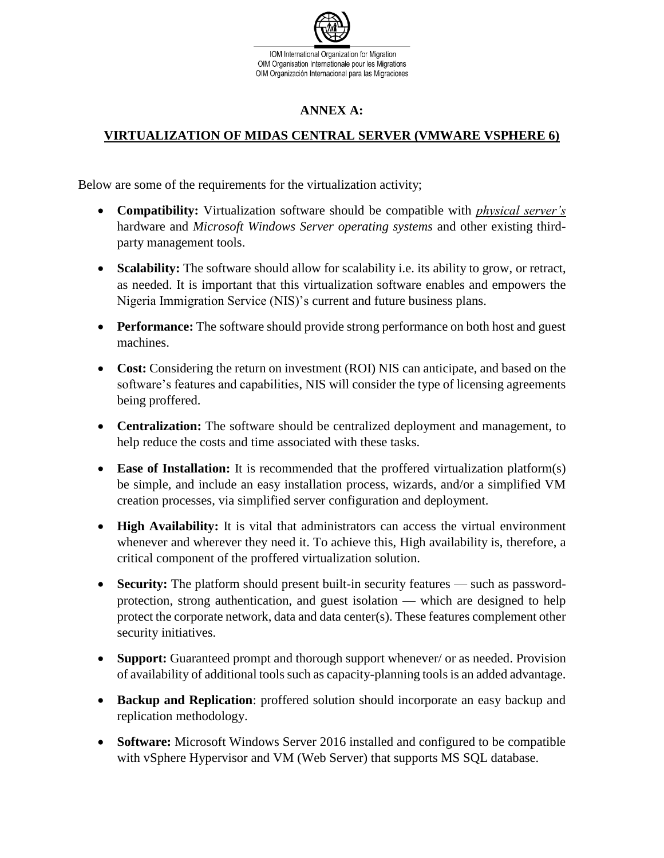

## **ANNEX A:**

## **VIRTUALIZATION OF MIDAS CENTRAL SERVER (VMWARE VSPHERE 6)**

Below are some of the requirements for the virtualization activity;

- **Compatibility:** Virtualization software should be compatible with *physical server's* hardware and *Microsoft Windows Server operating systems* and other existing thirdparty management tools.
- **Scalability:** The software should allow for scalability i.e. its ability to grow, or retract, as needed. It is important that this virtualization software enables and empowers the Nigeria Immigration Service (NIS)'s current and future business plans.
- **Performance:** The software should provide strong performance on both host and guest machines.
- **Cost:** Considering the return on investment (ROI) NIS can anticipate, and based on the software's features and capabilities, NIS will consider the type of licensing agreements being proffered.
- **Centralization:** The software should be centralized deployment and management, to help reduce the costs and time associated with these tasks.
- **Ease of Installation:** It is recommended that the proffered virtualization platform(s) be simple, and include an easy installation process, wizards, and/or a simplified VM creation processes, via simplified server configuration and deployment.
- **High Availability:** It is vital that administrators can access the virtual environment whenever and wherever they need it. To achieve this, High availability is, therefore, a critical component of the proffered virtualization solution.
- **Security:** The platform should present built-in security features such as passwordprotection, strong authentication, and guest isolation — which are designed to help protect the corporate network, data and data center(s). These features complement other security initiatives.
- **Support:** Guaranteed prompt and thorough support whenever/ or as needed. Provision of availability of additional tools such as capacity-planning tools is an added advantage.
- **Backup and Replication**: proffered solution should incorporate an easy backup and replication methodology.
- **Software:** Microsoft Windows Server 2016 installed and configured to be compatible with vSphere Hypervisor and VM (Web Server) that supports MS SQL database.